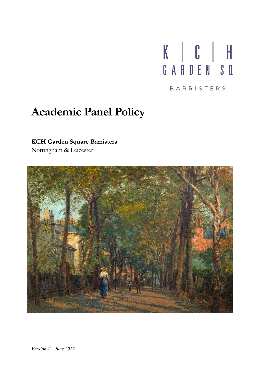

# **Academic Panel Policy**

## **KCH Garden Square Barristers**

Nottingham & Leicester

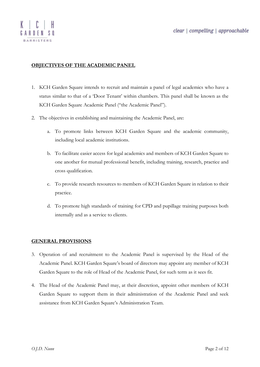### **OBJECTIVES OF THE ACADEMIC PANEL**

- 1. KCH Garden Square intends to recruit and maintain a panel of legal academics who have a status similar to that of a 'Door Tenant' within chambers. This panel shall be known as the KCH Garden Square Academic Panel ("the Academic Panel").
- 2. The objectives in establishing and maintaining the Academic Panel, are:
	- a. To promote links between KCH Garden Square and the academic community, including local academic institutions.
	- b. To facilitate easier access for legal academics and members of KCH Garden Square to one another for mutual professional benefit, including training, research, practice and cross qualification.
	- c. To provide research resources to members of KCH Garden Square in relation to their practice.
	- d. To promote high standards of training for CPD and pupillage training purposes both internally and as a service to clients.

#### **GENERAL PROVISIONS**

- 3. Operation of and recruitment to the Academic Panel is supervised by the Head of the Academic Panel. KCH Garden Square's board of directors may appoint any member of KCH Garden Square to the role of Head of the Academic Panel, for such term as it sees fit.
- 4. The Head of the Academic Panel may, at their discretion, appoint other members of KCH Garden Square to support them in their administration of the Academic Panel and seek assistance from KCH Garden Square's Administration Team.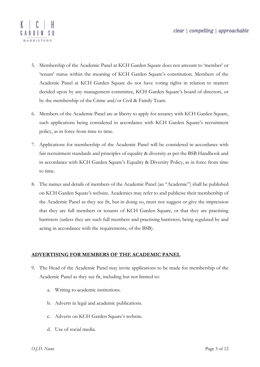

- 5. Membership of the Academic Panel at KCH Garden Square does not amount to 'member' or 'tenant' status within the meaning of KCH Garden Square's constitution. Members of the Academic Panel at KCH Garden Square do not have voting rights in relation to matters decided upon by any management committee, KCH Garden Square's board of directors, or by the membership of the Crime and/or Civil & Family Team.
- 6. Members of the Academic Panel are at liberty to apply for tenancy with KCH Garden Square, such applications being considered in accordance with KCH Garden Square's recruitment policy, as in force from time to time.
- 7. Applications for membership of the Academic Panel will be considered in accordance with fair recruitment standards and principles of equality & diversity as per the BSB Handbook and in accordance with KCH Garden Square's Equality & Diversity Policy, as in force from time to time.
- 8. The names and details of members of the Academic Panel (an "Academic") shall be published on KCH Garden Square's website. Academics may refer to and publicise their membership of the Academic Panel as they see fit, but in doing so, must not suggest or give the impression that they are full members or tenants of KCH Garden Square, or that they are practising barristers (unless they are such full members and practising barristers, being regulated by and acting in accordance with the requirements, of the BSB).

#### **ADVERTISING FOR MEMBERS OF THE ACADEMIC PANEL**

- 9. The Head of the Academic Panel may invite applications to be made for membership of the Academic Panel as they see fit, including but not limited to:
	- a. Writing to academic institutions.
	- b. Adverts in legal and academic publications.
	- c. Adverts on KCH Garden Square's website.
	- d. Use of social media.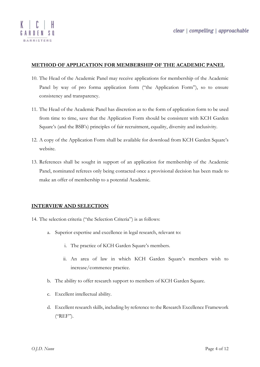

#### **METHOD OF APPLICATION FOR MEMBERSHIP OF THE ACADEMIC PANEL**

- 10. The Head of the Academic Panel may receive applications for membership of the Academic Panel by way of pro forma application form ("the Application Form"), so to ensure consistency and transparency.
- 11. The Head of the Academic Panel has discretion as to the form of application form to be used from time to time, save that the Application Form should be consistent with KCH Garden Square's (and the BSB's) principles of fair recruitment, equality, diversity and inclusivity.
- 12. A copy of the Application Form shall be available for download from KCH Garden Square's website.
- 13. References shall be sought in support of an application for membership of the Academic Panel, nominated referees only being contacted once a provisional decision has been made to make an offer of membership to a potential Academic.

#### **INTERVIEW AND SELECTION**

- 14. The selection criteria ("the Selection Criteria") is as follows:
	- a. Superior expertise and excellence in legal research, relevant to:
		- i. The practice of KCH Garden Square's members.
		- ii. An area of law in which KCH Garden Square's members wish to increase/commence practice.
	- b. The ability to offer research support to members of KCH Garden Square.
	- c. Excellent intellectual ability.
	- d. Excellent research skills, including by reference to the Research Excellence Framework ("REF").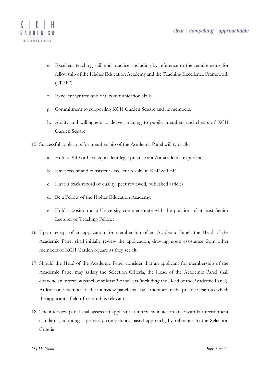

- e. Excellent teaching skill and practice, including by reference to the requirements for fellowship of the Higher Education Academy and the Teaching Excellence Framework  $($ "TEF").
- f. Excellent written and oral communication skills.
- g. Commitment to supporting KCH Garden Square and its members.
- h. Ability and willingness to deliver training to pupils, members and clients of KCH Garden Square.
- 15. Successful applicants for membership of the Academic Panel will typically:
	- a. Hold a PhD or have equivalent legal practice and/or academic experience.
	- b. Have recent and consistent excellent results in REF & TEF.
	- c. Have a track record of quality, peer reviewed, published articles.
	- d. Be a Fellow of the Higher Education Academy.
	- e. Hold a position at a University commensurate with the position of at least Senior Lecturer or Teaching Fellow.
- 16. Upon receipt of an application for membership of an Academic Panel, the Head of the Academic Panel shall initially review the application, drawing upon assistance from other members of KCH Garden Square as they see fit.
- 17. Should the Head of the Academic Panel consider that an applicant for membership of the Academic Panel may satisfy the Selection Criteria, the Head of the Academic Panel shall convene an interview panel of at least 3 panellists (including the Head of the Academic Panel). At least one member of the interview panel shall be a member of the practice team to which the applicant's field of research is relevant.
- 18. The interview panel shall assess an applicant at interview in accordance with fair recruitment standards, adopting a primarily competency based approach, by reference to the Selection Criteria.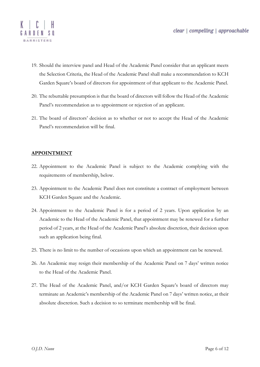

- 19. Should the interview panel and Head of the Academic Panel consider that an applicant meets the Selection Criteria, the Head of the Academic Panel shall make a recommendation to KCH Garden Square's board of directors for appointment of that applicant to the Academic Panel.
- 20. The rebuttable presumption is that the board of directors will follow the Head of the Academic Panel's recommendation as to appointment or rejection of an applicant.
- 21. The board of directors' decision as to whether or not to accept the Head of the Academic Panel's recommendation will be final.

#### **APPOINTMENT**

- 22. Appointment to the Academic Panel is subject to the Academic complying with the requirements of membership, below.
- 23. Appointment to the Academic Panel does not constitute a contract of employment between KCH Garden Square and the Academic.
- 24. Appointment to the Academic Panel is for a period of 2 years. Upon application by an Academic to the Head of the Academic Panel, that appointment may be renewed for a further period of 2 years, at the Head of the Academic Panel's absolute discretion, their decision upon such an application being final.
- 25. There is no limit to the number of occasions upon which an appointment can be renewed.
- 26. An Academic may resign their membership of the Academic Panel on 7 days' written notice to the Head of the Academic Panel.
- 27. The Head of the Academic Panel, and/or KCH Garden Square's board of directors may terminate an Academic's membership of the Academic Panel on 7 days' written notice, at their absolute discretion. Such a decision to so terminate membership will be final.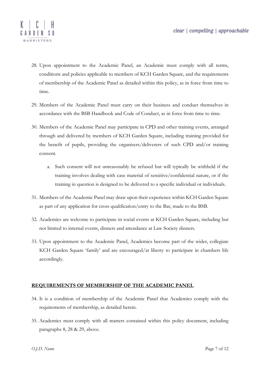

- 28. Upon appointment to the Academic Panel, an Academic must comply with all terms, conditions and policies applicable to members of KCH Garden Square, and the requirements of membership of the Academic Panel as detailed within this policy, as in force from time to time.
- 29. Members of the Academic Panel must carry on their business and conduct themselves in accordance with the BSB Handbook and Code of Conduct, as in force from time to time.
- 30. Members of the Academic Panel may participate in CPD and other training events, arranged through and delivered by members of KCH Garden Square, including training provided for the benefit of pupils, providing the organisers/deliverers of such CPD and/or training consent.
	- a. Such consent will not unreasonably be refused but will typically be withheld if the training involves dealing with case material of sensitive/confidential nature, or if the training in question is designed to be delivered to a specific individual or individuals.
- 31. Members of the Academic Panel may draw upon their experience within KCH Garden Square as part of any application for cross qualification/entry to the Bar, made to the BSB.
- 32. Academics are welcome to participate in social events at KCH Garden Square, including but not limited to internal events, dinners and attendance at Law Society dinners.
- 33. Upon appointment to the Academic Panel, Academics become part of the wider, collegiate KCH Garden Square 'family' and are encouraged/at liberty to participate in chambers life accordingly.

#### **REQUIREMENTS OF MEMBERSHIP OF THE ACADEMIC PANEL**

- 34. It is a condition of membership of the Academic Panel that Academics comply with the requirements of membership, as detailed herein.
- 35. Academics must comply with all matters contained within this policy document, including paragraphs 8, 28 & 29, above.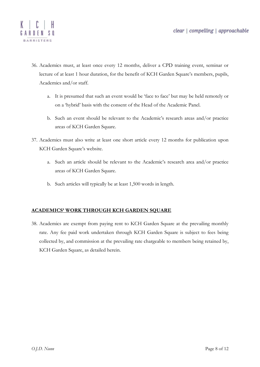

- 36. Academics must, at least once every 12 months, deliver a CPD training event, seminar or lecture of at least 1 hour duration, for the benefit of KCH Garden Square's members, pupils, Academics and/or staff.
	- a. It is presumed that such an event would be 'face to face' but may be held remotely or on a 'hybrid' basis with the consent of the Head of the Academic Panel.
	- b. Such an event should be relevant to the Academic's research areas and/or practice areas of KCH Garden Square.
- 37. Academics must also write at least one short article every 12 months for publication upon KCH Garden Square's website.
	- a. Such an article should be relevant to the Academic's research area and/or practice areas of KCH Garden Square.
	- b. Such articles will typically be at least 1,500 words in length.

#### **ACADEMICS' WORK THROUGH KCH GARDEN SQUARE**

38. Academics are exempt from paying rent to KCH Garden Square at the prevailing monthly rate. Any fee paid work undertaken through KCH Garden Square is subject to fees being collected by, and commission at the prevailing rate chargeable to members being retained by, KCH Garden Square, as detailed herein.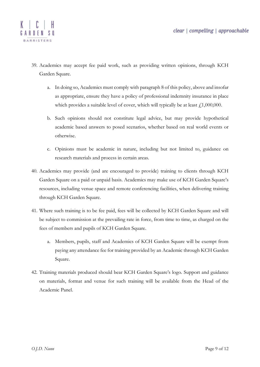

- 39. Academics may accept fee paid work, such as providing written opinions, through KCH Garden Square.
	- a. In doing so, Academics must comply with paragraph 8 of this policy, above and insofar as appropriate, ensure they have a policy of professional indemnity insurance in place which provides a suitable level of cover, which will typically be at least  $\ell$ 1,000,000.
	- b. Such opinions should not constitute legal advice, but may provide hypothetical academic based answers to posed scenarios, whether based on real world events or otherwise.
	- c. Opinions must be academic in nature, including but not limited to, guidance on research materials and process in certain areas.
- 40. Academics may provide (and are encouraged to provide) training to clients through KCH Garden Square on a paid or unpaid basis. Academics may make use of KCH Garden Square's resources, including venue space and remote conferencing facilities, when delivering training through KCH Garden Square.
- 41. Where such training is to be fee paid, fees will be collected by KCH Garden Square and will be subject to commission at the prevailing rate in force, from time to time, as charged on the fees of members and pupils of KCH Garden Square.
	- a. Members, pupils, staff and Academics of KCH Garden Square will be exempt from paying any attendance fee for training provided by an Academic through KCH Garden Square.
- 42. Training materials produced should bear KCH Garden Square's logo. Support and guidance on materials, format and venue for such training will be available from the Head of the Academic Panel.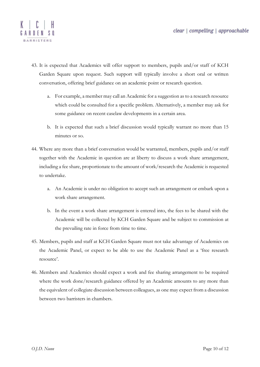

- 43. It is expected that Academics will offer support to members, pupils and/or staff of KCH Garden Square upon request. Such support will typically involve a short oral or written conversation, offering brief guidance on an academic point or research question.
	- a. For example, a member may call an Academic for a suggestion as to a research resource which could be consulted for a specific problem. Alternatively, a member may ask for some guidance on recent caselaw developments in a certain area.
	- b. It is expected that such a brief discussion would typically warrant no more than 15 minutes or so.
- 44. Where any more than a brief conversation would be warranted, members, pupils and/or staff together with the Academic in question are at liberty to discuss a work share arrangement, including a fee share, proportionate to the amount of work/research the Academic is requested to undertake.
	- a. An Academic is under no obligation to accept such an arrangement or embark upon a work share arrangement.
	- b. In the event a work share arrangement is entered into, the fees to be shared with the Academic will be collected by KCH Garden Square and be subject to commission at the prevailing rate in force from time to time.
- 45. Members, pupils and staff at KCH Garden Square must not take advantage of Academics on the Academic Panel, or expect to be able to use the Academic Panel as a 'free research resource'.
- 46. Members and Academics should expect a work and fee sharing arrangement to be required where the work done/research guidance offered by an Academic amounts to any more than the equivalent of collegiate discussion between colleagues, as one may expect from a discussion between two barristers in chambers.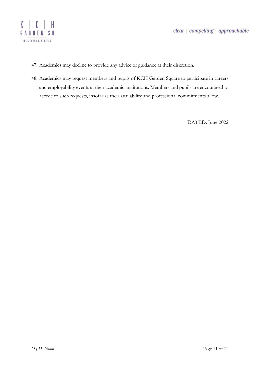

- 47. Academics may decline to provide any advice or guidance at their discretion.
- 48. Academics may request members and pupils of KCH Garden Square to participate in careers and employability events at their academic institutions. Members and pupils are encouraged to accede to such requests, insofar as their availability and professional commitments allow.

DATED: June 2022